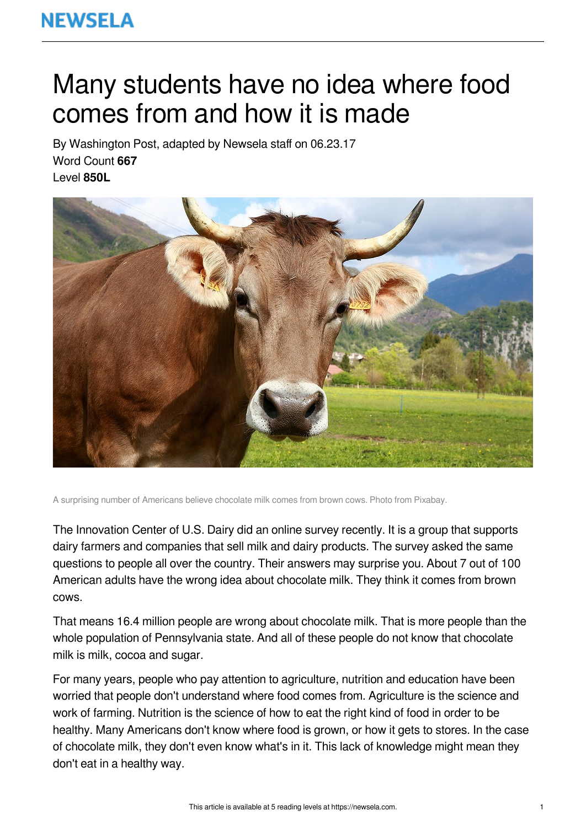## **NEWSELA**

# Many students have no idea where food comes from and how it is made

By Washington Post, adapted by Newsela staff on 06.23.17 Word Count **667** Level **850L**



A surprising number of Americans believe chocolate milk comes from brown cows. Photo from Pixabay.

The Innovation Center of U.S. Dairy did an online survey recently. It is a group that supports dairy farmers and companies that sell milk and dairy products. The survey asked the same questions to people all over the country. Their answers may surprise you. About 7 out of 100 American adults have the wrong idea about chocolate milk. They think it comes from brown cows.

That means 16.4 million people are wrong about chocolate milk. That is more people than the whole population of Pennsylvania state. And all of these people do not know that chocolate milk is milk, cocoa and sugar.

For many years, people who pay attention to agriculture, nutrition and education have been worried that people don't understand where food comes from. Agriculture is the science and work of farming. Nutrition is the science of how to eat the right kind of food in order to be healthy. Many Americans don't know where food is grown, or how it gets to stores. In the case of chocolate milk, they don't even know what's in it. This lack of knowledge might mean they don't eat in a healthy way.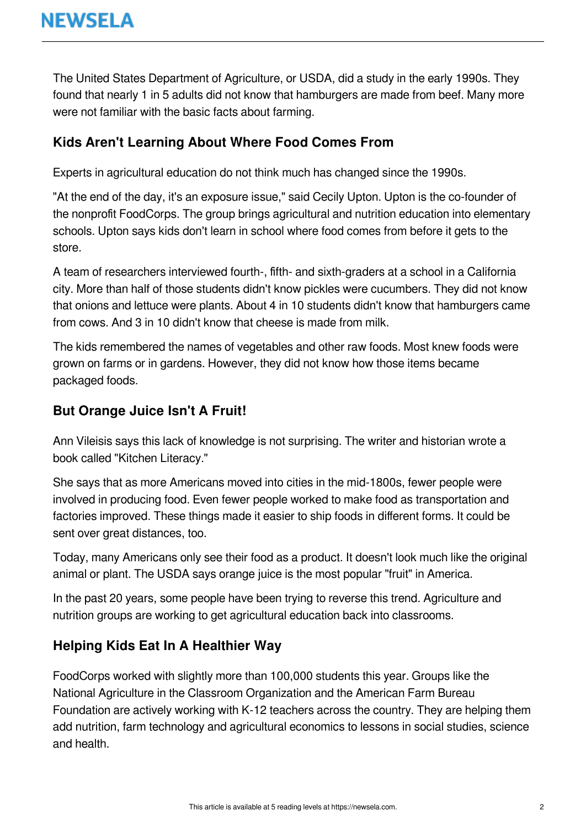The United States Department of Agriculture, or USDA, did a study in the early 1990s. They found that nearly 1 in 5 adults did not know that hamburgers are made from beef. Many more were not familiar with the basic facts about farming.

#### **Kids Aren't Learning About Where Food Comes From**

Experts in agricultural education do not think much has changed since the 1990s.

"At the end of the day, it's an exposure issue," said Cecily Upton. Upton is the co-founder of the nonprofit FoodCorps. The group brings agricultural and nutrition education into elementary schools. Upton says kids don't learn in school where food comes from before it gets to the store.

A team of researchers interviewed fourth-, fifth- and sixth-graders at a school in a California city. More than half of those students didn't know pickles were cucumbers. They did not know that onions and lettuce were plants. About 4 in 10 students didn't know that hamburgers came from cows. And 3 in 10 didn't know that cheese is made from milk.

The kids remembered the names of vegetables and other raw foods. Most knew foods were grown on farms or in gardens. However, they did not know how those items became packaged foods.

#### **But Orange Juice Isn't A Fruit!**

Ann Vileisis says this lack of knowledge is not surprising. The writer and historian wrote a book called "Kitchen Literacy."

She says that as more Americans moved into cities in the mid-1800s, fewer people were involved in producing food. Even fewer people worked to make food as transportation and factories improved. These things made it easier to ship foods in different forms. It could be sent over great distances, too.

Today, many Americans only see their food as a product. It doesn't look much like the original animal or plant. The USDA says orange juice is the most popular "fruit" in America.

In the past 20 years, some people have been trying to reverse this trend. Agriculture and nutrition groups are working to get agricultural education back into classrooms.

### **Helping Kids Eat In A Healthier Way**

FoodCorps worked with slightly more than 100,000 students this year. Groups like the National Agriculture in the Classroom Organization and the American Farm Bureau Foundation are actively working with K-12 teachers across the country. They are helping them add nutrition, farm technology and agricultural economics to lessons in social studies, science and health.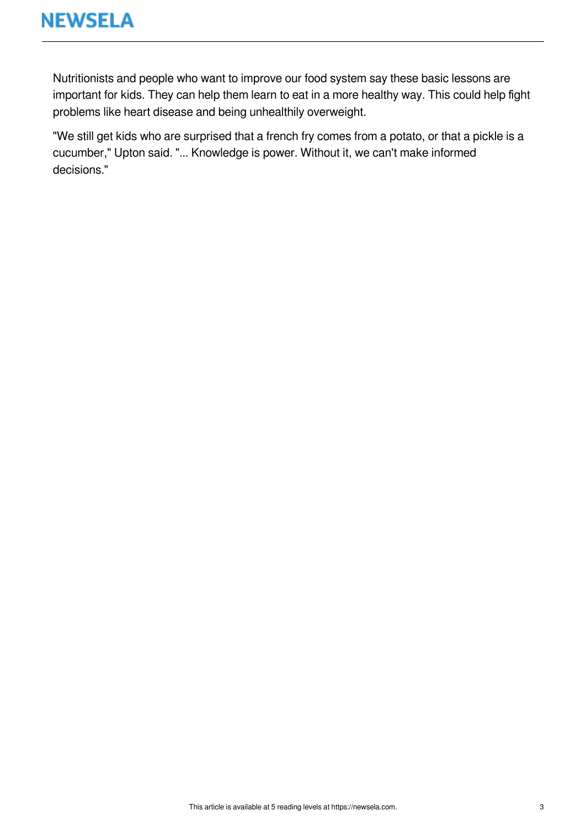Nutritionists and people who want to improve our food system say these basic lessons are important for kids. They can help them learn to eat in a more healthy way. This could help fight problems like heart disease and being unhealthily overweight.

"We still get kids who are surprised that a french fry comes from a potato, or that a pickle is a cucumber," Upton said. "... Knowledge is power. Without it, we can't make informed decisions."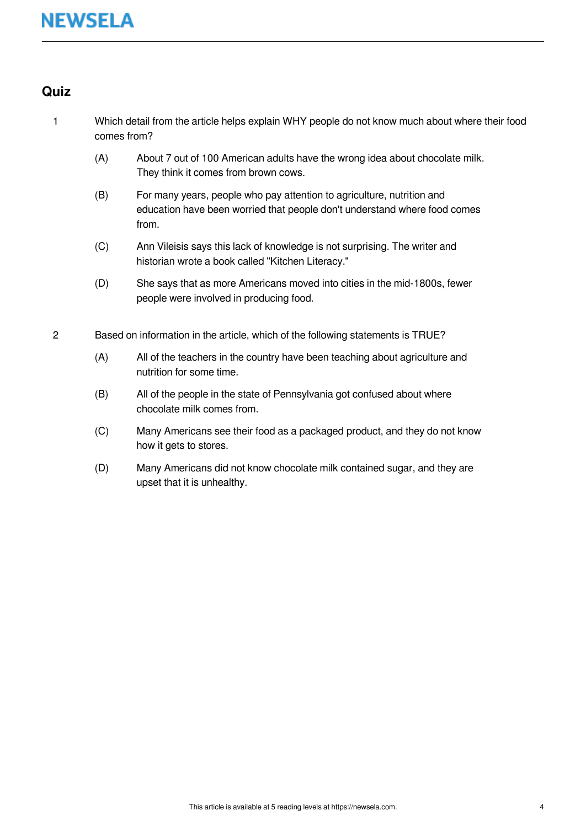#### **Quiz**

- 1 Which detail from the article helps explain WHY people do not know much about where their food comes from?
	- (A) About 7 out of 100 American adults have the wrong idea about chocolate milk. They think it comes from brown cows.
	- (B) For many years, people who pay attention to agriculture, nutrition and education have been worried that people don't understand where food comes from.
	- (C) Ann Vileisis says this lack of knowledge is not surprising. The writer and historian wrote a book called "Kitchen Literacy."
	- (D) She says that as more Americans moved into cities in the mid-1800s, fewer people were involved in producing food.
- 2 Based on information in the article, which of the following statements is TRUE?
	- (A) All of the teachers in the country have been teaching about agriculture and nutrition for some time.
	- (B) All of the people in the state of Pennsylvania got confused about where chocolate milk comes from.
	- (C) Many Americans see their food as a packaged product, and they do not know how it gets to stores.
	- (D) Many Americans did not know chocolate milk contained sugar, and they are upset that it is unhealthy.